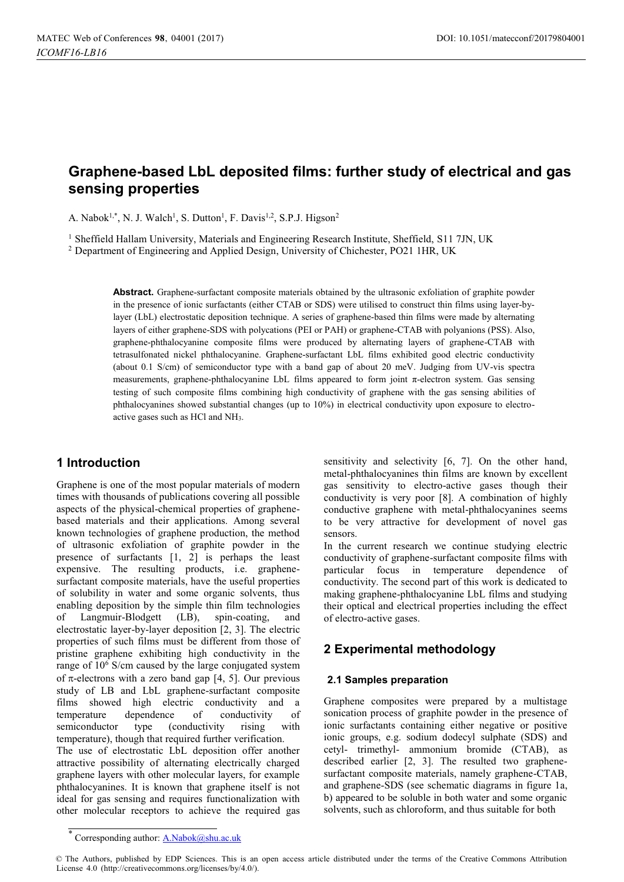# **Graphene-based LbL deposited films: further study of electrical and gas sensing properties**

A. Nabok<sup>1,\*</sup>, N. J. Walch<sup>1</sup>, S. Dutton<sup>1</sup>, F. Davis<sup>1,2</sup>, S.P.J. Higson<sup>2</sup>

<sup>1</sup> Sheffield Hallam University, Materials and Engineering Research Institute, Sheffield, S11 7JN, UK  $^2$  Department of Engineering and Applied Design, University of Chichester, PO21 1HR, UK

**Abstract.** Graphene-surfactant composite materials obtained by the ultrasonic exfoliation of graphite powder in the presence of ionic surfactants (either CTAB or SDS) were utilised to construct thin films using layer-bylayer (LbL) electrostatic deposition technique. A series of graphene-based thin films were made by alternating layers of either graphene-SDS with polycations (PEI or PAH) or graphene-CTAB with polyanions (PSS). Also, graphene-phthalocyanine composite films were produced by alternating layers of graphene-CTAB with tetrasulfonated nickel phthalocyanine. Graphene-surfactant LbL films exhibited good electric conductivity (about 0.1 S/cm) of semiconductor type with a band gap of about 20 meV. Judging from UV-vis spectra measurements, graphene-phthalocyanine LbL films appeared to form joint  $\pi$ -electron system. Gas sensing testing of such composite films combining high conductivity of graphene with the gas sensing abilities of phthalocyanines showed substantial changes (up to 10%) in electrical conductivity upon exposure to electroactive gases such as HCl and NH3.

# **1 Introduction**

Graphene is one of the most popular materials of modern times with thousands of publications covering all possible aspects of the physical-chemical properties of graphenebased materials and their applications. Among several known technologies of graphene production, the method of ultrasonic exfoliation of graphite powder in the presence of surfactants [1, 2] is perhaps the least expensive. The resulting products, i.e. graphenesurfactant composite materials, have the useful properties of solubility in water and some organic solvents, thus enabling deposition by the simple thin film technologies of Langmuir-Blodgett (LB), spin-coating, and electrostatic layer-by-layer deposition [2, 3]. The electric properties of such films must be different from those of pristine graphene exhibiting high conductivity in the range of  $10^6$  S/cm caused by the large conjugated system of  $\pi$ -electrons with a zero band gap [4, 5]. Our previous study of LB and LbL graphene-surfactant composite films showed high electric conductivity and a temperature dependence of conductivity of semiconductor type (conductivity rising with temperature), though that required further verification.

The use of electrostatic LbL deposition offer another attractive possibility of alternating electrically charged graphene layers with other molecular layers, for example phthalocyanines. It is known that graphene itself is not ideal for gas sensing and requires functionalization with other molecular receptors to achieve the required gas

sensitivity and selectivity [6, 7]. On the other hand, metal-phthalocyanines thin films are known by excellent gas sensitivity to electro-active gases though their conductivity is very poor [8]. A combination of highly conductive graphene with metal-phthalocyanines seems to be very attractive for development of novel gas sensors.

In the current research we continue studying electric conductivity of graphene-surfactant composite films with particular focus in temperature dependence of conductivity. The second part of this work is dedicated to making graphene-phthalocyanine LbL films and studying their optical and electrical properties including the effect of electro-active gases.

# **2 Experimental methodology**

#### **2.1 Samples preparation**

Graphene composites were prepared by a multistage sonication process of graphite powder in the presence of ionic surfactants containing either negative or positive ionic groups, e.g. sodium dodecyl sulphate (SDS) and cetyl- trimethyl- ammonium bromide (CTAB), as described earlier [2, 3]. The resulted two graphenesurfactant composite materials, namely graphene-CTAB, and graphene-SDS (see schematic diagrams in figure 1a, b) appeared to be soluble in both water and some organic solvents, such as chloroform, and thus suitable for both

<sup>\*</sup> Corresponding author: A.Nabok@shu.ac.uk

<sup>©</sup> The Authors, published by EDP Sciences. This is an open access article distributed under the terms of the Creative Commons Attribution License 4.0 (http://creativecommons.org/licenses/by/4.0/).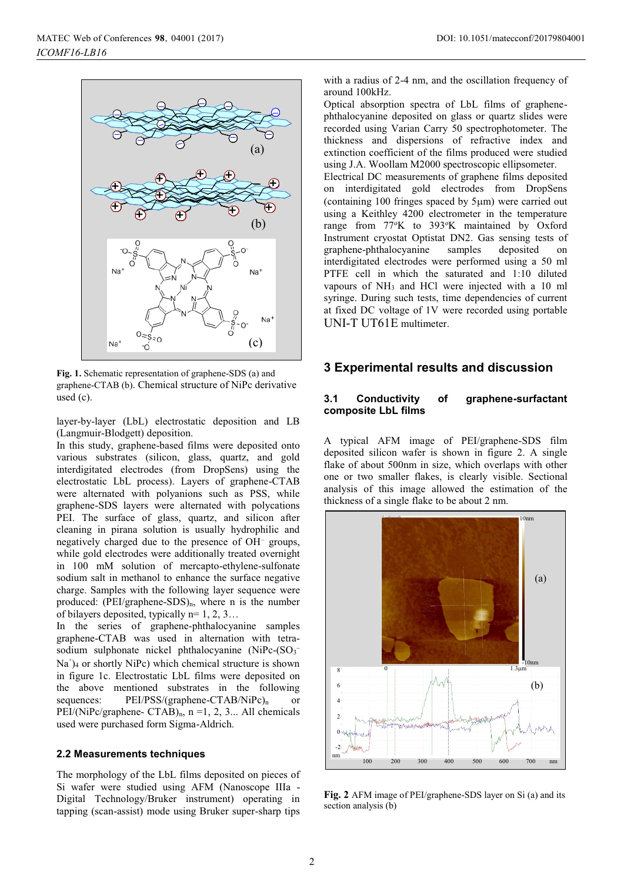

**Fig. 1.** Schematic representation of graphene-SDS (a) and graphene-CTAB (b). Chemical structure of NiPc derivative used (c).

layer-by-layer (LbL) electrostatic deposition and LB (Langmuir-Blodgett) deposition.

In this study, graphene-based films were deposited onto various substrates (silicon, glass, quartz, and gold interdigitated electrodes (from DropSens) using the electrostatic LbL process). Layers of graphene-CTAB were alternated with polyanions such as PSS, while graphene-SDS layers were alternated with polycations PEI. The surface of glass, quartz, and silicon after cleaning in pirana solution is usually hydrophilic and negatively charged due to the presence of OH– groups, while gold electrodes were additionally treated overnight in 100 mM solution of mercapto-ethylene-sulfonate sodium salt in methanol to enhance the surface negative charge. Samples with the following layer sequence were produced:  $(PEI/graphene-SDS)_n$ , where n is the number of bilayers deposited, typically  $n=1, 2, 3...$ 

In the series of graphene-phthalocyanine samples graphene-CTAB was used in alternation with tetrasodium sulphonate nickel phthalocyanine  $(NiPc-(SO_3))$ Na )4 or shortly NiPc) which chemical structure is shown in figure 1c. Electrostatic LbL films were deposited on the above mentioned substrates in the following sequences: PEI/PSS/(graphene-CTAB/NiPc)<sub>n</sub> or PEI/(NiPc/graphene- CTAB)<sub>n</sub>,  $n = 1, 2, 3...$  All chemicals used were purchased form Sigma-Aldrich.

#### **2.2 Measurements techniques**

The morphology of the LbL films deposited on pieces of Si wafer were studied using AFM (Nanoscope IIIa - Digital Technology/Bruker instrument) operating in tapping (scan-assist) mode using Bruker super-sharp tips with a radius of 2-4 nm, and the oscillation frequency of around 100kHz.

Optical absorption spectra of LbL films of graphenephthalocyanine deposited on glass or quartz slides were recorded using Varian Carry 50 spectrophotometer. The thickness and dispersions of refractive index and extinction coefficient of the films produced were studied using J.A. Woollam M2000 spectroscopic ellipsometer. Electrical DC measurements of graphene films deposited on interdigitated gold electrodes from DropSens (containing 100 fringes spaced by 5um) were carried out using a Keithley 4200 electrometer in the temperature

range from 77°K to 393°K maintained by Oxford Instrument cryostat Optistat DN2. Gas sensing tests of graphene-phthalocyanine samples deposited on interdigitated electrodes were performed using a 50 ml PTFE cell in which the saturated and 1:10 diluted vapours of NH3 and HCl were injected with a 10 ml syringe. During such tests, time dependencies of current at fixed DC voltage of 1V were recorded using portable UNI-T UT61E multimeter.

## **3 Experimental results and discussion**

### **3.1 Conductivity of graphene-surfactant composite LbL films**

A typical AFM image of PEI/graphene-SDS film deposited silicon wafer is shown in figure 2. A single flake of about 500nm in size, which overlaps with other one or two smaller flakes, is clearly visible. Sectional analysis of this image allowed the estimation of the thickness of a single flake to be about 2 nm.



**Fig. 2** AFM image of PEI/graphene-SDS layer on Si (a) and its section analysis (b)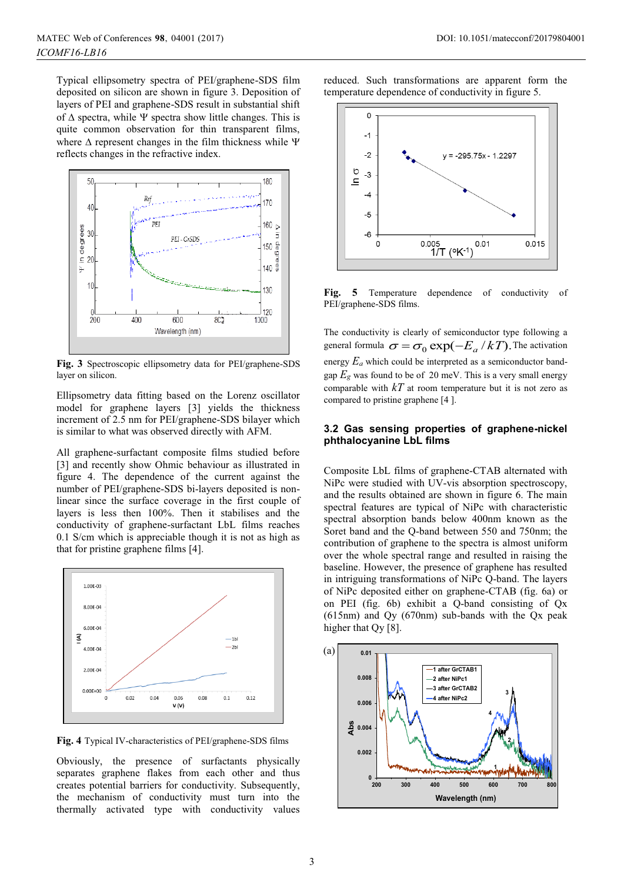Typical ellipsometry spectra of PEI/graphene-SDS film deposited on silicon are shown in figure 3. Deposition of layers of PEI and graphene-SDS result in substantial shift of  $\Delta$  spectra, while  $\Psi$  spectra show little changes. This is quite common observation for thin transparent films, where  $\Delta$  represent changes in the film thickness while  $\Psi$ reflects changes in the refractive index.



**Fig. 3** Spectroscopic ellipsometry data for PEI/graphene-SDS layer on silicon.

Ellipsometry data fitting based on the Lorenz oscillator model for graphene layers [3] yields the thickness increment of 2.5 nm for PEI/graphene-SDS bilayer which is similar to what was observed directly with AFM.

All graphene-surfactant composite films studied before [3] and recently show Ohmic behaviour as illustrated in figure 4. The dependence of the current against the number of PEI/graphene-SDS bi-layers deposited is nonlinear since the surface coverage in the first couple of layers is less then 100%. Then it stabilises and the conductivity of graphene-surfactant LbL films reaches 0.1 S/cm which is appreciable though it is not as high as that for pristine graphene films [4].



**Fig. 4** Typical IV-characteristics of PEI/graphene-SDS films

Obviously, the presence of surfactants physically separates graphene flakes from each other and thus creates potential barriers for conductivity. Subsequently, the mechanism of conductivity must turn into the thermally activated type with conductivity values reduced. Such transformations are apparent form the temperature dependence of conductivity in figure 5.



Fig. 5 Temperature dependence of conductivity of PEI/graphene-SDS films.

The conductivity is clearly of semiconductor type following a general formula  $\sigma = \sigma_0 \exp(-E_a / kT)$ . The activation energy *Ea* which could be interpreted as a semiconductor bandgap  $E_g$  was found to be of 20 meV. This is a very small energy comparable with *kT* at room temperature but it is not zero as compared to pristine graphene [4 ].

### **3.2 Gas sensing properties of graphene-nickel phthalocyanine LbL films**

Composite LbL films of graphene-CTAB alternated with NiPc were studied with UV-vis absorption spectroscopy, and the results obtained are shown in figure 6. The main spectral features are typical of NiPc with characteristic spectral absorption bands below 400nm known as the Soret band and the Q-band between 550 and 750nm; the contribution of graphene to the spectra is almost uniform over the whole spectral range and resulted in raising the baseline. However, the presence of graphene has resulted in intriguing transformations of NiPc Q-band. The layers of NiPc deposited either on graphene-CTAB (fig. 6a) or on PEI (fig. 6b) exhibit a Q-band consisting of Qx (615nm) and Qy (670nm) sub-bands with the Qx peak higher that Qy [8].